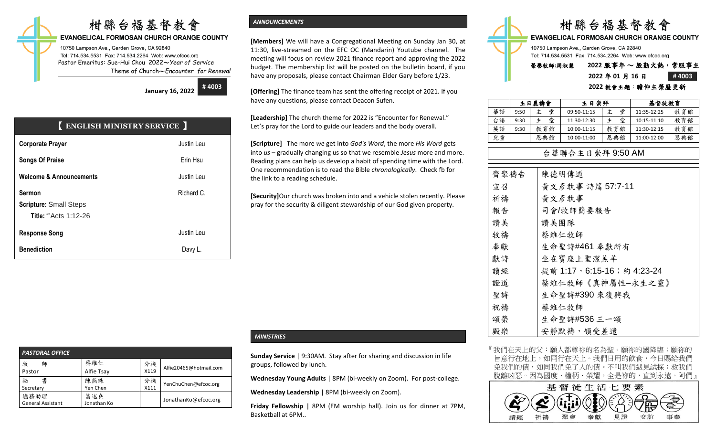## 柑縣台福基督教會

#### **EVANGELICAL FORMOSAN CHURCH ORANGE COUNTY**

10750 Lampson Ave., Garden Grove, CA 92840 Tel: 714.534.5531 Fax: 714.534.2264 Web: www.efcoc.org Pastor Emeritus: Sue-Hui Chou 2022〜*Year of Service* Theme of Church〜*Encounter for Renewal*

> **January 16, 2022 # 4003**

| <b>ENGLISH MINISTRY SERVICE</b>                                                |            |  |  |  |  |  |
|--------------------------------------------------------------------------------|------------|--|--|--|--|--|
| <b>Corporate Prayer</b>                                                        | Justin Leu |  |  |  |  |  |
| <b>Songs Of Praise</b>                                                         | Erin Hsu   |  |  |  |  |  |
| <b>Welcome &amp; Announcements</b>                                             | Justin Leu |  |  |  |  |  |
| <b>Sermon</b><br><b>Scripture: Small Steps</b><br><b>Title: ""Acts 1:12-26</b> | Richard C. |  |  |  |  |  |
| <b>Response Song</b>                                                           | Justin Leu |  |  |  |  |  |
| <b>Benediction</b>                                                             | Davy L.    |  |  |  |  |  |

#### *ANNOUNCEMENTS*

**[Members]** We will have a Congregational Meeting on Sunday Jan 30, at 11:30, live-streamed on the EFC OC (Mandarin) Youtube channel. The meeting will focus on review 2021 finance report and approving the 2022 budget. The membership list will be posted on the bulletin board, if you have any proposals, please contact Chairman Elder Gary before 1/23.

**[Offering]** The finance team has sent the offering receipt of 2021. If you have any questions, please contact Deacon Sufen.

**[Leadership]** The church theme for 2022 is "Encounter for Renewal." Let's pray for the Lord to guide our leaders and the body overall.

**[Scripture]** The more *we* get into *God's Word*, the more *His Word* gets into *us* – gradually changing us so that we resemble *Jesus* more and more. Reading plans can help us develop a habit of spending time with the Lord. One recommendation is to read the Bible *chronologically*. Check fb for the link to a reading schedule.

**[Security]**Our church was broken into and a vehicle stolen recently. Please pray for the security & diligent stewardship of our God given property.

#### *PASTORAL OFFICE*  牧 師 Pastor 蔡維仁 Alfie Tsay 分機 X119 Alfie20465@hotmail.com 祕 書 Secretary 陳燕珠 Yen Chen 分機  $\begin{array}{c} 27 \sqrt{111} \\ 111 \end{array}$  YenChuChen@efcoc.org 總務助理 General Assistant 葛述堯 匈処元<br>Jonathan Ko JonathanKo@efcoc.org

#### *MINISTRIES*

**Sunday Service** | 9:30AM. Stay after for sharing and discussion in life groups, followed by lunch.

**Wednesday Young Adults** | 8PM (bi-weekly on Zoom). For post-college.

**Wednesday Leadership** | 8PM (bi-weekly on Zoom).

**Friday Fellowship** | 8PM (EM worship hall). Join us for dinner at 7PM, Basketball at 6PM..



|    | 主日晨禱會 |     | 主日崇拜        |        |             | 基督徒教育 |  |  |
|----|-------|-----|-------------|--------|-------------|-------|--|--|
| 華語 | 9:50  | 堂   | 09:50-11:15 | 堂<br>主 | 11:35-12:25 | 教育館   |  |  |
| 台語 | 9:30  | 堂   | 11:30-12:30 | 堂<br>主 | 10:15-11:10 | 教育館   |  |  |
| 英語 | 9:30  | 教育館 | 10:00-11:15 | 教育館    | 11:30-12:15 | 教育館   |  |  |
| 兒童 |       | 恩典館 | 10:00-11:00 | 恩典館    | 11:00-12:00 | 恩典館   |  |  |

#### 台華聯合主日崇拜 9:50 AM

| 齊聚禱告 | 陳德明傳道                       |
|------|-----------------------------|
| 宣召   | 黃文彥執事 詩篇 57:7-11            |
| 祈禱   | 黄文彦執事                       |
| 報告   | 司會/牧師簡要報告                   |
| 讚美   | 讚美團隊                        |
| 牧禱   | 蔡維仁牧師                       |
| 奉獻   | 生命聖詩#461 奉獻所有               |
| 獻詩   | 坐在寶座上聖潔羔羊                   |
| 讀經   | 提前 1:17, 6:15-16; 約 4:23-24 |
| 證道   | 蔡維仁牧師《真神屬性-永生之靈》            |
| 聖詩   | 生命聖詩#390 來復興我               |
| 祝禱   | 蔡維仁牧師                       |
| 頌榮   | 生命聖詩#536 三一頌                |
| 殿樂   | 安靜默禱, 領受差遣                  |

『我們在天上的父:願人都尊祢的名為聖。願祢的國降臨;願祢的 旨意行在地上,如同行在天上。我們日用的飲食,今日賜給我們 免我們的債,如同我們免了人的債。不叫我們遇見試探;救我們 脫離凶惡。因為國度、權柄、榮耀,全是祢的,直到永遠。阿們』